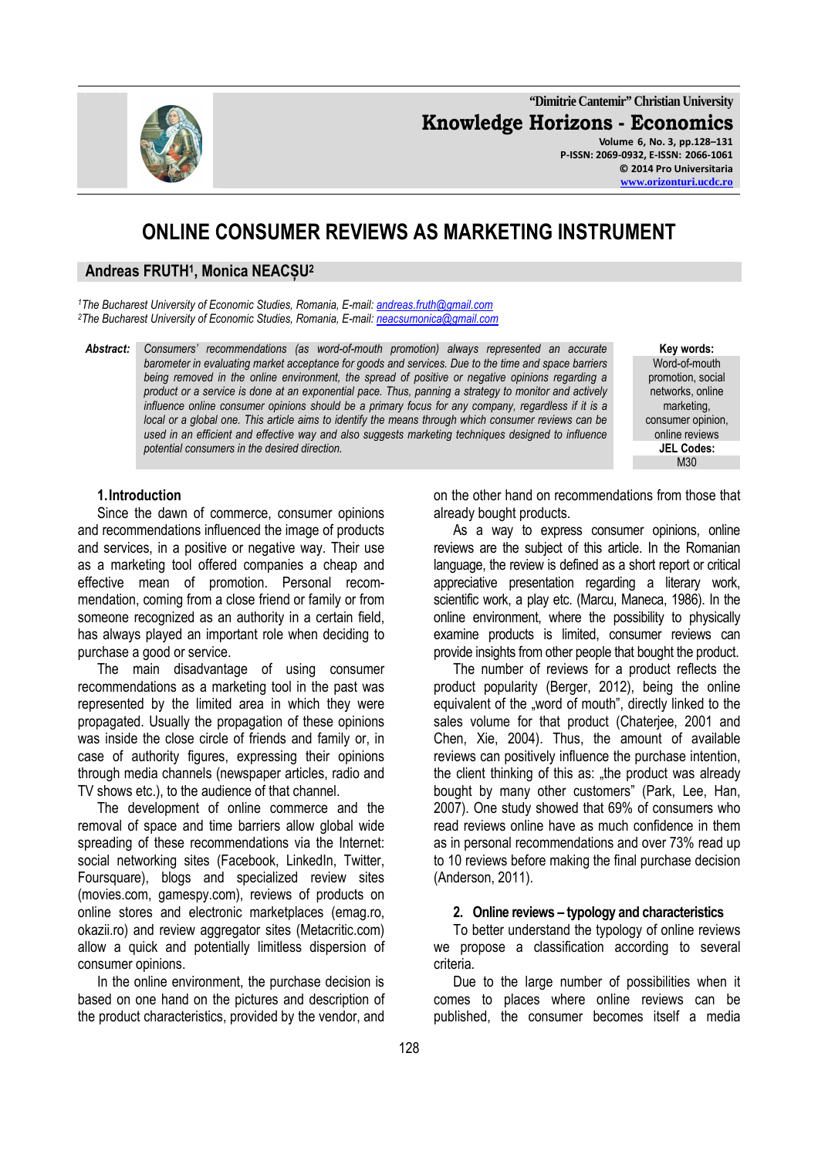**"Dimitrie Cantemir" Christian University Knowledge Horizons - Economics Volume 6, No. 3, pp.128–131 P-ISSN: 2069-0932, E-ISSN: 2066-1061 © 2014 Pro Universitaria** 

# **ONLINE CONSUMER REVIEWS AS MARKETING INSTRUMENT**

## **Andreas FRUTH<sup>1</sup> , Monica NEACȘU<sup>2</sup>**

*<sup>1</sup>The Bucharest University of Economic Studies, Romania, E-mail: andreas.fruth@gmail.com <sup>2</sup>The Bucharest University of Economic Studies, Romania, E-mail: neacsumonica@gmail.com*

*Abstract: Consumers' recommendations (as word-of-mouth promotion) always represented an accurate barometer in evaluating market acceptance for goods and services. Due to the time and space barriers being removed in the online environment, the spread of positive or negative opinions regarding a product or a service is done at an exponential pace. Thus, panning a strategy to monitor and actively influence online consumer opinions should be a primary focus for any company, regardless if it is a local or a global one. This article aims to identify the means through which consumer reviews can be used in an efficient and effective way and also suggests marketing techniques designed to influence potential consumers in the desired direction.* 

**Key words:**  Word-of-mouth promotion, social networks, online marketing, consumer opinion, online reviews **JEL Codes:**  M30

### **1.Introduction**

Since the dawn of commerce, consumer opinions and recommendations influenced the image of products and services, in a positive or negative way. Their use as a marketing tool offered companies a cheap and effective mean of promotion. Personal recommendation, coming from a close friend or family or from someone recognized as an authority in a certain field. has always played an important role when deciding to purchase a good or service.

The main disadvantage of using consumer recommendations as a marketing tool in the past was represented by the limited area in which they were propagated. Usually the propagation of these opinions was inside the close circle of friends and family or, in case of authority figures, expressing their opinions through media channels (newspaper articles, radio and TV shows etc.), to the audience of that channel.

The development of online commerce and the removal of space and time barriers allow global wide spreading of these recommendations via the Internet: social networking sites (Facebook, LinkedIn, Twitter, Foursquare), blogs and specialized review sites (movies.com, gamespy.com), reviews of products on online stores and electronic marketplaces (emag.ro, okazii.ro) and review aggregator sites (Metacritic.com) allow a quick and potentially limitless dispersion of consumer opinions.

In the online environment, the purchase decision is based on one hand on the pictures and description of the product characteristics, provided by the vendor, and on the other hand on recommendations from those that already bought products.

As a way to express consumer opinions, online reviews are the subject of this article. In the Romanian language, the review is defined as a short report or critical appreciative presentation regarding a literary work, scientific work, a play etc. (Marcu, Maneca, 1986). In the online environment, where the possibility to physically examine products is limited, consumer reviews can provide insights from other people that bought the product.

The number of reviews for a product reflects the product popularity (Berger, 2012), being the online equivalent of the "word of mouth", directly linked to the sales volume for that product (Chaterjee, 2001 and Chen, Xie, 2004). Thus, the amount of available reviews can positively influence the purchase intention, the client thinking of this as: "the product was already bought by many other customers" (Park, Lee, Han, 2007). One study showed that 69% of consumers who read reviews online have as much confidence in them as in personal recommendations and over 73% read up to 10 reviews before making the final purchase decision (Anderson, 2011).

#### **2. Online reviews – typology and characteristics**

To better understand the typology of online reviews we propose a classification according to several criteria.

Due to the large number of possibilities when it comes to places where online reviews can be published, the consumer becomes itself a media

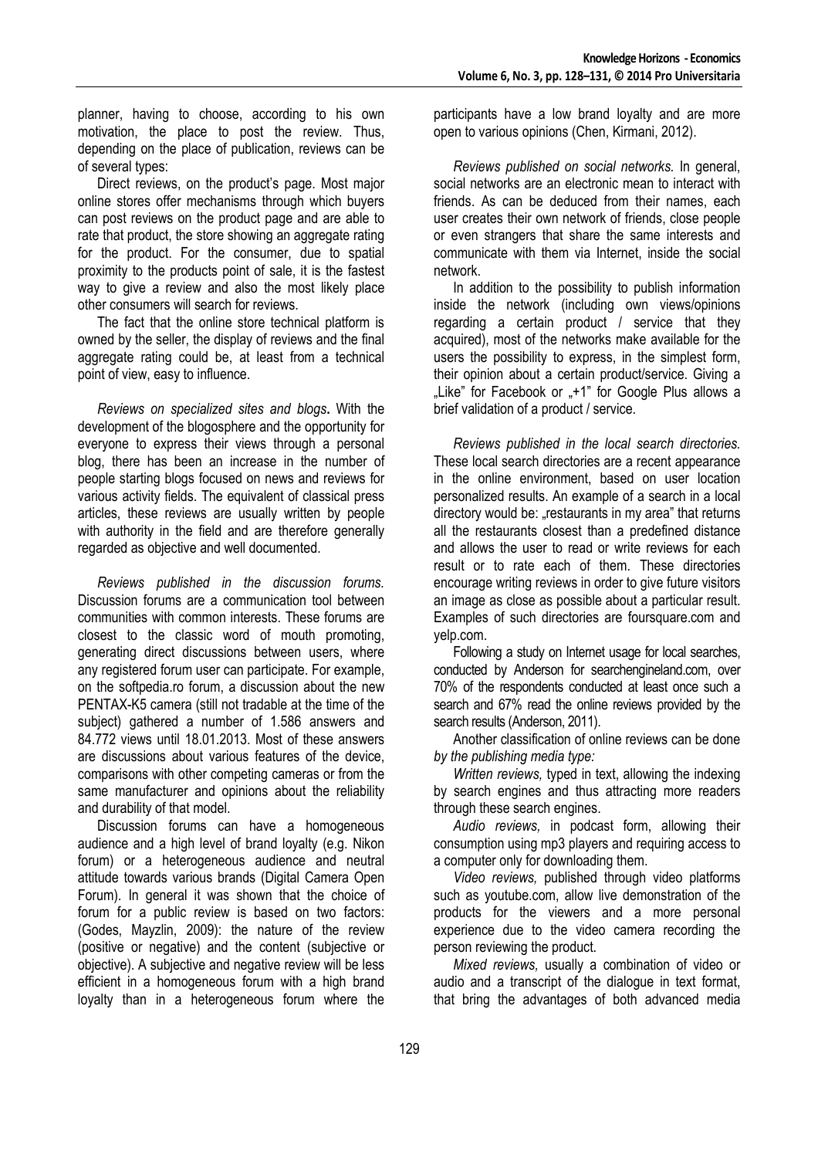planner, having to choose, according to his own motivation, the place to post the review. Thus, depending on the place of publication, reviews can be of several types:

Direct reviews, on the product's page. Most major online stores offer mechanisms through which buyers can post reviews on the product page and are able to rate that product, the store showing an aggregate rating for the product. For the consumer, due to spatial proximity to the products point of sale, it is the fastest way to give a review and also the most likely place other consumers will search for reviews.

The fact that the online store technical platform is owned by the seller, the display of reviews and the final aggregate rating could be, at least from a technical point of view, easy to influence.

*Reviews on specialized sites and blogs***.** With the development of the blogosphere and the opportunity for everyone to express their views through a personal blog, there has been an increase in the number of people starting blogs focused on news and reviews for various activity fields. The equivalent of classical press articles, these reviews are usually written by people with authority in the field and are therefore generally regarded as objective and well documented.

*Reviews published in the discussion forums.* Discussion forums are a communication tool between communities with common interests. These forums are closest to the classic word of mouth promoting, generating direct discussions between users, where any registered forum user can participate. For example, on the softpedia.ro forum, a discussion about the new PENTAX-K5 camera (still not tradable at the time of the subject) gathered a number of 1.586 answers and 84.772 views until 18.01.2013. Most of these answers are discussions about various features of the device, comparisons with other competing cameras or from the same manufacturer and opinions about the reliability and durability of that model.

Discussion forums can have a homogeneous audience and a high level of brand loyalty (e.g. Nikon forum) or a heterogeneous audience and neutral attitude towards various brands (Digital Camera Open Forum). In general it was shown that the choice of forum for a public review is based on two factors: (Godes, Mayzlin, 2009): the nature of the review (positive or negative) and the content (subjective or objective). A subjective and negative review will be less efficient in a homogeneous forum with a high brand loyalty than in a heterogeneous forum where the

participants have a low brand loyalty and are more open to various opinions (Chen, Kirmani, 2012).

*Reviews published on social networks.* In general, social networks are an electronic mean to interact with friends. As can be deduced from their names, each user creates their own network of friends, close people or even strangers that share the same interests and communicate with them via Internet, inside the social network.

In addition to the possibility to publish information inside the network (including own views/opinions regarding a certain product / service that they acquired), most of the networks make available for the users the possibility to express, in the simplest form, their opinion about a certain product/service. Giving a "Like" for Facebook or "+1" for Google Plus allows a brief validation of a product / service.

*Reviews published in the local search directories.* These local search directories are a recent appearance in the online environment, based on user location personalized results. An example of a search in a local directory would be: "restaurants in my area" that returns all the restaurants closest than a predefined distance and allows the user to read or write reviews for each result or to rate each of them. These directories encourage writing reviews in order to give future visitors an image as close as possible about a particular result. Examples of such directories are foursquare.com and yelp.com.

Following a study on Internet usage for local searches, conducted by Anderson for searchengineland.com, over 70% of the respondents conducted at least once such a search and 67% read the online reviews provided by the search results (Anderson, 2011).

Another classification of online reviews can be done *by the publishing media type:* 

*Written reviews,* typed in text, allowing the indexing by search engines and thus attracting more readers through these search engines.

*Audio reviews,* in podcast form, allowing their consumption using mp3 players and requiring access to a computer only for downloading them.

*Video reviews,* published through video platforms such as youtube.com, allow live demonstration of the products for the viewers and a more personal experience due to the video camera recording the person reviewing the product.

*Mixed reviews,* usually a combination of video or audio and a transcript of the dialogue in text format, that bring the advantages of both advanced media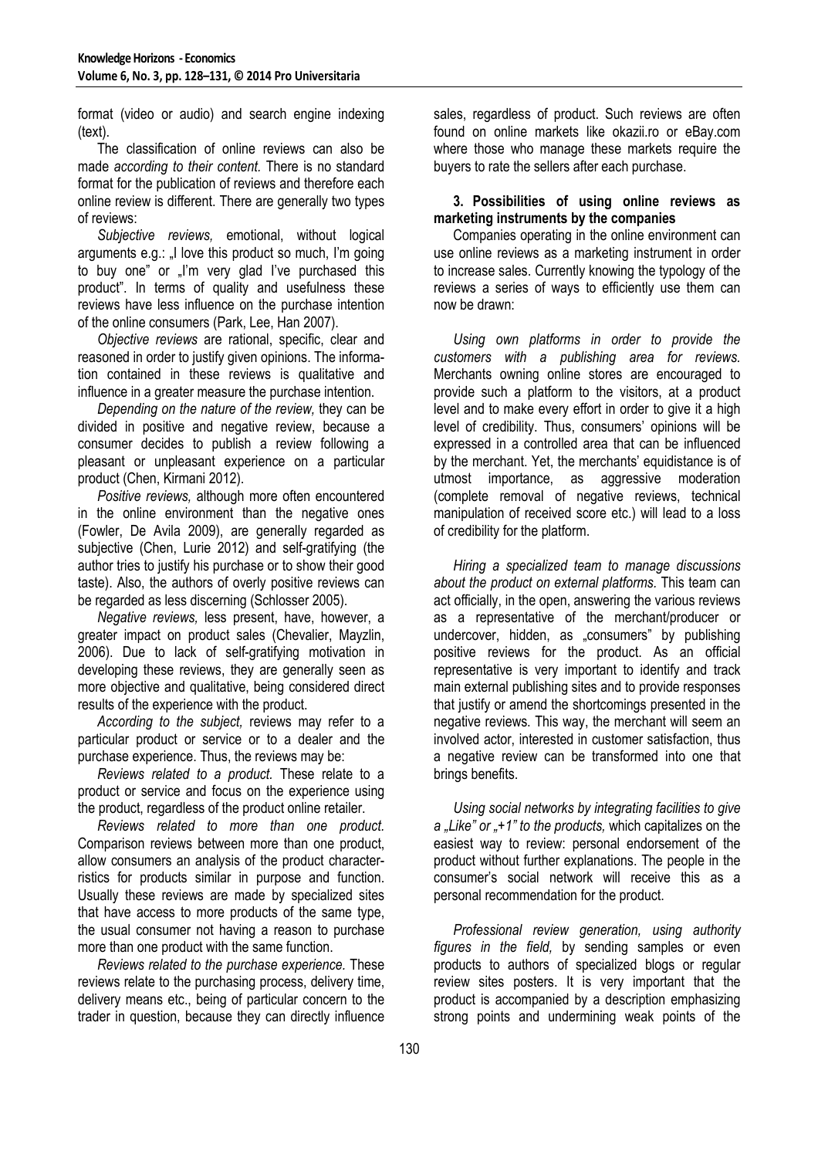format (video or audio) and search engine indexing (text).

The classification of online reviews can also be made *according to their content.* There is no standard format for the publication of reviews and therefore each online review is different. There are generally two types of reviews:

*Subjective reviews,* emotional, without logical arguments e.g.: I love this product so much. I'm going to buy one" or ..I'm very glad I've purchased this product". In terms of quality and usefulness these reviews have less influence on the purchase intention of the online consumers (Park, Lee, Han 2007).

*Objective reviews* are rational, specific, clear and reasoned in order to justify given opinions. The information contained in these reviews is qualitative and influence in a greater measure the purchase intention.

*Depending on the nature of the review,* they can be divided in positive and negative review, because a consumer decides to publish a review following a pleasant or unpleasant experience on a particular product (Chen, Kirmani 2012).

*Positive reviews,* although more often encountered in the online environment than the negative ones (Fowler, De Avila 2009), are generally regarded as subjective (Chen, Lurie 2012) and self-gratifying (the author tries to justify his purchase or to show their good taste). Also, the authors of overly positive reviews can be regarded as less discerning (Schlosser 2005).

*Negative reviews,* less present, have, however, a greater impact on product sales (Chevalier, Mayzlin, 2006). Due to lack of self-gratifying motivation in developing these reviews, they are generally seen as more objective and qualitative, being considered direct results of the experience with the product.

*According to the subject,* reviews may refer to a particular product or service or to a dealer and the purchase experience. Thus, the reviews may be:

*Reviews related to a product.* These relate to a product or service and focus on the experience using the product, regardless of the product online retailer.

*Reviews related to more than one product.* Comparison reviews between more than one product, allow consumers an analysis of the product characterristics for products similar in purpose and function. Usually these reviews are made by specialized sites that have access to more products of the same type, the usual consumer not having a reason to purchase more than one product with the same function.

*Reviews related to the purchase experience.* These reviews relate to the purchasing process, delivery time, delivery means etc., being of particular concern to the trader in question, because they can directly influence sales, regardless of product. Such reviews are often found on online markets like okazii.ro or eBay.com where those who manage these markets require the buyers to rate the sellers after each purchase.

## **3. Possibilities of using online reviews as marketing instruments by the companies**

Companies operating in the online environment can use online reviews as a marketing instrument in order to increase sales. Currently knowing the typology of the reviews a series of ways to efficiently use them can now be drawn:

*Using own platforms in order to provide the customers with a publishing area for reviews.* Merchants owning online stores are encouraged to provide such a platform to the visitors, at a product level and to make every effort in order to give it a high level of credibility. Thus, consumers' opinions will be expressed in a controlled area that can be influenced by the merchant. Yet, the merchants' equidistance is of utmost importance, as aggressive moderation (complete removal of negative reviews, technical manipulation of received score etc.) will lead to a loss of credibility for the platform.

*Hiring a specialized team to manage discussions about the product on external platforms.* This team can act officially, in the open, answering the various reviews as a representative of the merchant/producer or undercover, hidden, as "consumers" by publishing positive reviews for the product. As an official representative is very important to identify and track main external publishing sites and to provide responses that justify or amend the shortcomings presented in the negative reviews. This way, the merchant will seem an involved actor, interested in customer satisfaction, thus a negative review can be transformed into one that brings benefits.

*Using social networks by integrating facilities to give a "Like" or "+1" to the products,* which capitalizes on the easiest way to review: personal endorsement of the product without further explanations. The people in the consumer's social network will receive this as a personal recommendation for the product.

*Professional review generation, using authority figures in the field,* by sending samples or even products to authors of specialized blogs or regular review sites posters. It is very important that the product is accompanied by a description emphasizing strong points and undermining weak points of the